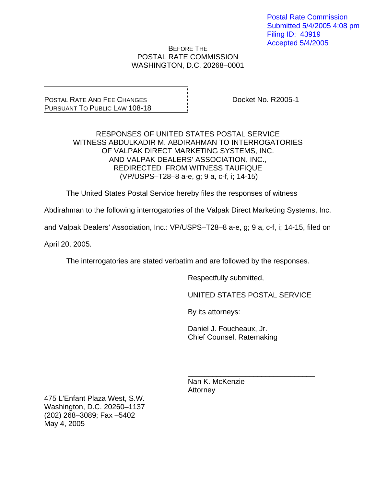Postal Rate Commission Submitted 5/4/2005 4:08 pm Filing ID: 43919 Accepted 5/4/2005

BEFORE THE POSTAL RATE COMMISSION WASHINGTON, D.C. 20268–0001

POSTAL RATE AND FEE CHANGES PURSUANT TO PUBLIC LAW 108-18 Docket No. R2005-1

RESPONSES OF UNITED STATES POSTAL SERVICE WITNESS ABDULKADIR M. ABDIRAHMAN TO INTERROGATORIES OF VALPAK DIRECT MARKETING SYSTEMS, INC. AND VALPAK DEALERS' ASSOCIATION, INC., REDIRECTED FROM WITNESS TAUFIQUE (VP/USPS–T28–8 a-e, g; 9 a, c-f, i; 14-15)

The United States Postal Service hereby files the responses of witness

Abdirahman to the following interrogatories of the Valpak Direct Marketing Systems, Inc.

and Valpak Dealers' Association, Inc.: VP/USPS–T28–8 a-e, g; 9 a, c-f, i; 14-15, filed on

April 20, 2005.

The interrogatories are stated verbatim and are followed by the responses.

 $\overline{\phantom{a}}$  , and the contract of the contract of the contract of the contract of the contract of the contract of the contract of the contract of the contract of the contract of the contract of the contract of the contrac

Respectfully submitted,

UNITED STATES POSTAL SERVICE

By its attorneys:

 Daniel J. Foucheaux, Jr. Chief Counsel, Ratemaking

 Nan K. McKenzie Attorney

475 L'Enfant Plaza West, S.W. Washington, D.C. 20260–1137 (202) 268–3089; Fax –5402 May 4, 2005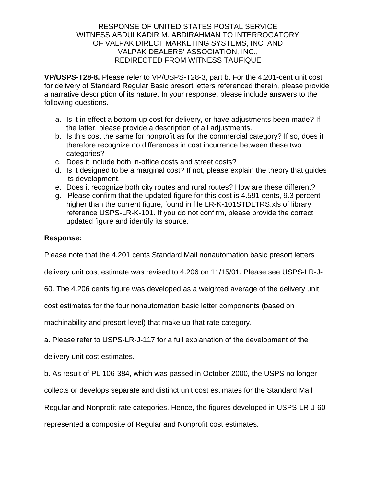**VP/USPS-T28-8.** Please refer to VP/USPS-T28-3, part b. For the 4.201-cent unit cost for delivery of Standard Regular Basic presort letters referenced therein, please provide a narrative description of its nature. In your response, please include answers to the following questions.

- a. Is it in effect a bottom-up cost for delivery, or have adjustments been made? If the latter, please provide a description of all adjustments.
- b. Is this cost the same for nonprofit as for the commercial category? If so, does it therefore recognize no differences in cost incurrence between these two categories?
- c. Does it include both in-office costs and street costs?
- d. Is it designed to be a marginal cost? If not, please explain the theory that guides its development.
- e. Does it recognize both city routes and rural routes? How are these different?
- g. Please confirm that the updated figure for this cost is 4.591 cents, 9.3 percent higher than the current figure, found in file LR-K-101STDLTRS.xls of library reference USPS-LR-K-101. If you do not confirm, please provide the correct updated figure and identify its source.

## **Response:**

Please note that the 4.201 cents Standard Mail nonautomation basic presort letters

delivery unit cost estimate was revised to 4.206 on 11/15/01. Please see USPS-LR-J-

60. The 4.206 cents figure was developed as a weighted average of the delivery unit

cost estimates for the four nonautomation basic letter components (based on

machinability and presort level) that make up that rate category.

a. Please refer to USPS-LR-J-117 for a full explanation of the development of the

delivery unit cost estimates.

b. As result of PL 106-384, which was passed in October 2000, the USPS no longer

collects or develops separate and distinct unit cost estimates for the Standard Mail

Regular and Nonprofit rate categories. Hence, the figures developed in USPS-LR-J-60

represented a composite of Regular and Nonprofit cost estimates.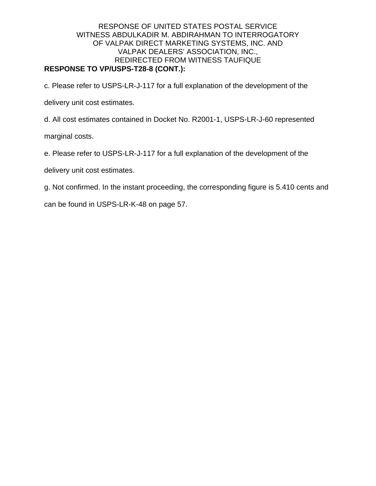c. Please refer to USPS-LR-J-117 for a full explanation of the development of the

delivery unit cost estimates.

d. All cost estimates contained in Docket No. R2001-1, USPS-LR-J-60 represented

marginal costs.

e. Please refer to USPS-LR-J-117 for a full explanation of the development of the

delivery unit cost estimates.

g. Not confirmed. In the instant proceeding, the corresponding figure is 5.410 cents and

can be found in USPS-LR-K-48 on page 57.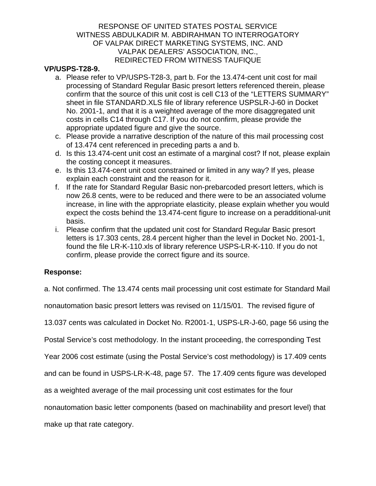## **VP/USPS-T28-9.**

- a. Please refer to VP/USPS-T28-3, part b. For the 13.474-cent unit cost for mail processing of Standard Regular Basic presort letters referenced therein, please confirm that the source of this unit cost is cell C13 of the "LETTERS SUMMARY" sheet in file STANDARD.XLS file of library reference USPSLR-J-60 in Docket No. 2001-1, and that it is a weighted average of the more disaggregated unit costs in cells C14 through C17. If you do not confirm, please provide the appropriate updated figure and give the source.
- c. Please provide a narrative description of the nature of this mail processing cost of 13.474 cent referenced in preceding parts a and b.
- d. Is this 13.474-cent unit cost an estimate of a marginal cost? If not, please explain the costing concept it measures.
- e. Is this 13.474-cent unit cost constrained or limited in any way? If yes, please explain each constraint and the reason for it.
- f. If the rate for Standard Regular Basic non-prebarcoded presort letters, which is now 26.8 cents, were to be reduced and there were to be an associated volume increase, in line with the appropriate elasticity, please explain whether you would expect the costs behind the 13.474-cent figure to increase on a peradditional-unit basis.
- i. Please confirm that the updated unit cost for Standard Regular Basic presort letters is 17.303 cents, 28.4 percent higher than the level in Docket No. 2001-1, found the file LR-K-110.xls of library reference USPS-LR-K-110. If you do not confirm, please provide the correct figure and its source.

## **Response:**

a. Not confirmed. The 13.474 cents mail processing unit cost estimate for Standard Mail

nonautomation basic presort letters was revised on 11/15/01. The revised figure of

13.037 cents was calculated in Docket No. R2001-1, USPS-LR-J-60, page 56 using the

Postal Service's cost methodology. In the instant proceeding, the corresponding Test

Year 2006 cost estimate (using the Postal Service's cost methodology) is 17.409 cents

and can be found in USPS-LR-K-48, page 57. The 17.409 cents figure was developed

as a weighted average of the mail processing unit cost estimates for the four

nonautomation basic letter components (based on machinability and presort level) that

make up that rate category.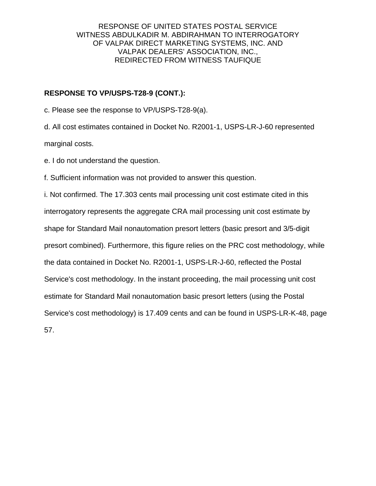## **RESPONSE TO VP/USPS-T28-9 (CONT.):**

c. Please see the response to VP/USPS-T28-9(a).

d. All cost estimates contained in Docket No. R2001-1, USPS-LR-J-60 represented marginal costs.

e. I do not understand the question.

f. Sufficient information was not provided to answer this question.

i. Not confirmed. The 17.303 cents mail processing unit cost estimate cited in this interrogatory represents the aggregate CRA mail processing unit cost estimate by shape for Standard Mail nonautomation presort letters (basic presort and 3/5-digit presort combined). Furthermore, this figure relies on the PRC cost methodology, while the data contained in Docket No. R2001-1, USPS-LR-J-60, reflected the Postal Service's cost methodology. In the instant proceeding, the mail processing unit cost estimate for Standard Mail nonautomation basic presort letters (using the Postal Service's cost methodology) is 17.409 cents and can be found in USPS-LR-K-48, page 57.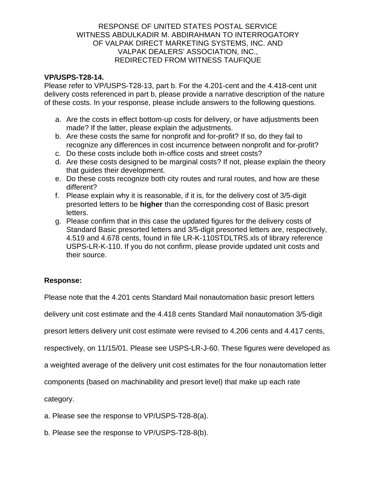## **VP/USPS-T28-14.**

Please refer to VP/USPS-T28-13, part b. For the 4.201-cent and the 4.418-cent unit delivery costs referenced in part b, please provide a narrative description of the nature of these costs. In your response, please include answers to the following questions.

- a. Are the costs in effect bottom-up costs for delivery, or have adjustments been made? If the latter, please explain the adjustments.
- b. Are these costs the same for nonprofit and for-profit? If so, do they fail to recognize any differences in cost incurrence between nonprofit and for-profit?
- c. Do these costs include both in-office costs and street costs?
- d. Are these costs designed to be marginal costs? If not, please explain the theory that guides their development.
- e. Do these costs recognize both city routes and rural routes, and how are these different?
- f. Please explain why it is reasonable, if it is, for the delivery cost of 3/5-digit presorted letters to be **higher** than the corresponding cost of Basic presort letters.
- g. Please confirm that in this case the updated figures for the delivery costs of Standard Basic presorted letters and 3/5-digit presorted letters are, respectively, 4.519 and 4.678 cents, found in file LR-K-110STDLTRS.xls of library reference USPS-LR-K-110. If you do not confirm, please provide updated unit costs and their source.

# **Response:**

Please note that the 4.201 cents Standard Mail nonautomation basic presort letters

delivery unit cost estimate and the 4.418 cents Standard Mail nonautomation 3/5-digit

presort letters delivery unit cost estimate were revised to 4.206 cents and 4.417 cents,

respectively, on 11/15/01. Please see USPS-LR-J-60. These figures were developed as

a weighted average of the delivery unit cost estimates for the four nonautomation letter

components (based on machinability and presort level) that make up each rate

category.

- a. Please see the response to VP/USPS-T28-8(a).
- b. Please see the response to VP/USPS-T28-8(b).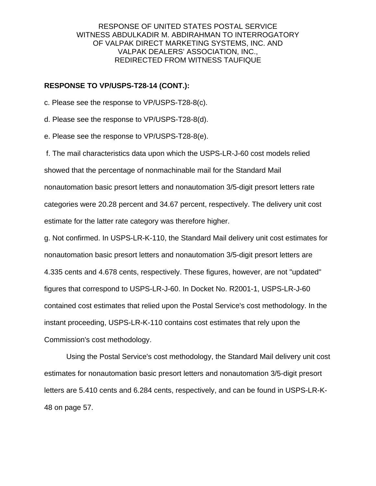#### **RESPONSE TO VP/USPS-T28-14 (CONT.):**

c. Please see the response to VP/USPS-T28-8(c).

d. Please see the response to VP/USPS-T28-8(d).

e. Please see the response to VP/USPS-T28-8(e).

 f. The mail characteristics data upon which the USPS-LR-J-60 cost models relied showed that the percentage of nonmachinable mail for the Standard Mail nonautomation basic presort letters and nonautomation 3/5-digit presort letters rate categories were 20.28 percent and 34.67 percent, respectively. The delivery unit cost estimate for the latter rate category was therefore higher.

g. Not confirmed. In USPS-LR-K-110, the Standard Mail delivery unit cost estimates for nonautomation basic presort letters and nonautomation 3/5-digit presort letters are 4.335 cents and 4.678 cents, respectively. These figures, however, are not "updated" figures that correspond to USPS-LR-J-60. In Docket No. R2001-1, USPS-LR-J-60 contained cost estimates that relied upon the Postal Service's cost methodology. In the instant proceeding, USPS-LR-K-110 contains cost estimates that rely upon the Commission's cost methodology.

Using the Postal Service's cost methodology, the Standard Mail delivery unit cost estimates for nonautomation basic presort letters and nonautomation 3/5-digit presort letters are 5.410 cents and 6.284 cents, respectively, and can be found in USPS-LR-K-48 on page 57.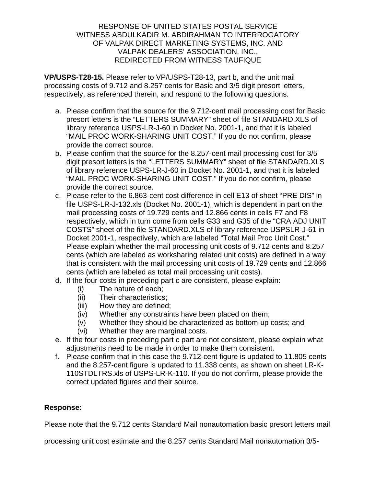**VP/USPS-T28-15.** Please refer to VP/USPS-T28-13, part b, and the unit mail processing costs of 9.712 and 8.257 cents for Basic and 3/5 digit presort letters, respectively, as referenced therein, and respond to the following questions.

- a. Please confirm that the source for the 9.712-cent mail processing cost for Basic presort letters is the "LETTERS SUMMARY" sheet of file STANDARD.XLS of library reference USPS-LR-J-60 in Docket No. 2001-1, and that it is labeled "MAIL PROC WORK-SHARING UNIT COST." If you do not confirm, please provide the correct source.
- b. Please confirm that the source for the 8.257-cent mail processing cost for 3/5 digit presort letters is the "LETTERS SUMMARY" sheet of file STANDARD.XLS of library reference USPS-LR-J-60 in Docket No. 2001-1, and that it is labeled "MAIL PROC WORK-SHARING UNIT COST." If you do not confirm, please provide the correct source.
- c. Please refer to the 6.863-cent cost difference in cell E13 of sheet "PRE DIS" in file USPS-LR-J-132.xls (Docket No. 2001-1), which is dependent in part on the mail processing costs of 19.729 cents and 12.866 cents in cells F7 and F8 respectively, which in turn come from cells G33 and G35 of the "CRA ADJ UNIT COSTS" sheet of the file STANDARD.XLS of library reference USPSLR-J-61 in Docket 2001-1, respectively, which are labeled "Total Mail Proc Unit Cost." Please explain whether the mail processing unit costs of 9.712 cents and 8.257 cents (which are labeled as worksharing related unit costs) are defined in a way that is consistent with the mail processing unit costs of 19.729 cents and 12.866 cents (which are labeled as total mail processing unit costs).
- d. If the four costs in preceding part c are consistent, please explain:
	- (i) The nature of each;
	- (ii) Their characteristics;
	- (iii) How they are defined;
	- (iv) Whether any constraints have been placed on them;
	- (v) Whether they should be characterized as bottom-up costs; and
	- (vi) Whether they are marginal costs.
- e. If the four costs in preceding part c part are not consistent, please explain what adjustments need to be made in order to make them consistent.
- f. Please confirm that in this case the 9.712-cent figure is updated to 11.805 cents and the 8.257-cent figure is updated to 11.338 cents, as shown on sheet LR-K-110STDLTRS.xls of USPS-LR-K-110. If you do not confirm, please provide the correct updated figures and their source.

## **Response:**

Please note that the 9.712 cents Standard Mail nonautomation basic presort letters mail

processing unit cost estimate and the 8.257 cents Standard Mail nonautomation 3/5-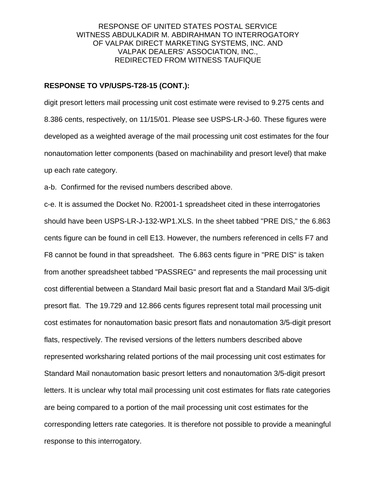#### **RESPONSE TO VP/USPS-T28-15 (CONT.):**

digit presort letters mail processing unit cost estimate were revised to 9.275 cents and 8.386 cents, respectively, on 11/15/01. Please see USPS-LR-J-60. These figures were developed as a weighted average of the mail processing unit cost estimates for the four nonautomation letter components (based on machinability and presort level) that make up each rate category.

a-b. Confirmed for the revised numbers described above.

c-e. It is assumed the Docket No. R2001-1 spreadsheet cited in these interrogatories should have been USPS-LR-J-132-WP1.XLS. In the sheet tabbed "PRE DIS," the 6.863 cents figure can be found in cell E13. However, the numbers referenced in cells F7 and F8 cannot be found in that spreadsheet. The 6.863 cents figure in "PRE DIS" is taken from another spreadsheet tabbed "PASSREG" and represents the mail processing unit cost differential between a Standard Mail basic presort flat and a Standard Mail 3/5-digit presort flat. The 19.729 and 12.866 cents figures represent total mail processing unit cost estimates for nonautomation basic presort flats and nonautomation 3/5-digit presort flats, respectively. The revised versions of the letters numbers described above represented worksharing related portions of the mail processing unit cost estimates for Standard Mail nonautomation basic presort letters and nonautomation 3/5-digit presort letters. It is unclear why total mail processing unit cost estimates for flats rate categories are being compared to a portion of the mail processing unit cost estimates for the corresponding letters rate categories. It is therefore not possible to provide a meaningful response to this interrogatory.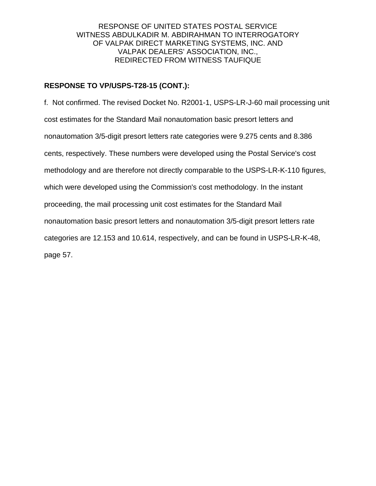## **RESPONSE TO VP/USPS-T28-15 (CONT.):**

f. Not confirmed. The revised Docket No. R2001-1, USPS-LR-J-60 mail processing unit cost estimates for the Standard Mail nonautomation basic presort letters and nonautomation 3/5-digit presort letters rate categories were 9.275 cents and 8.386 cents, respectively. These numbers were developed using the Postal Service's cost methodology and are therefore not directly comparable to the USPS-LR-K-110 figures, which were developed using the Commission's cost methodology. In the instant proceeding, the mail processing unit cost estimates for the Standard Mail nonautomation basic presort letters and nonautomation 3/5-digit presort letters rate categories are 12.153 and 10.614, respectively, and can be found in USPS-LR-K-48, page 57.